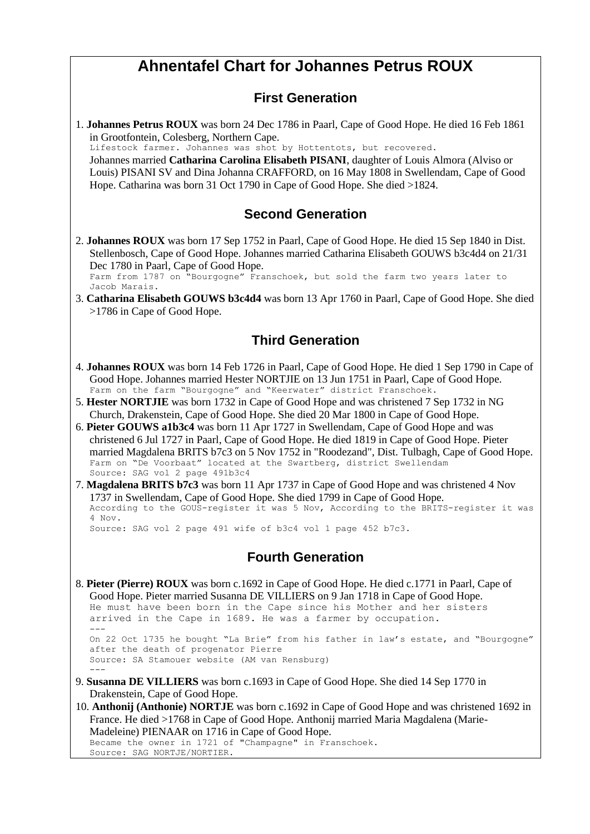## **Ahnentafel Chart for Johannes Petrus ROUX**

#### **First Generation**

1. **Johannes Petrus ROUX** was born 24 Dec 1786 in Paarl, Cape of Good Hope. He died 16 Feb 1861 in Grootfontein, Colesberg, Northern Cape. Lifestock farmer. Johannes was shot by Hottentots, but recovered. Johannes married **Catharina Carolina Elisabeth PISANI**, daughter of Louis Almora (Alviso or

Louis) PISANI SV and Dina Johanna CRAFFORD, on 16 May 1808 in Swellendam, Cape of Good Hope. Catharina was born 31 Oct 1790 in Cape of Good Hope. She died >1824.

#### **Second Generation**

2. **Johannes ROUX** was born 17 Sep 1752 in Paarl, Cape of Good Hope. He died 15 Sep 1840 in Dist. Stellenbosch, Cape of Good Hope. Johannes married Catharina Elisabeth GOUWS b3c4d4 on 21/31 Dec 1780 in Paarl, Cape of Good Hope.

Farm from 1787 on "Bourgogne" Franschoek, but sold the farm two years later to Jacob Marais.

3. **Catharina Elisabeth GOUWS b3c4d4** was born 13 Apr 1760 in Paarl, Cape of Good Hope. She died >1786 in Cape of Good Hope.

#### **Third Generation**

- 4. **Johannes ROUX** was born 14 Feb 1726 in Paarl, Cape of Good Hope. He died 1 Sep 1790 in Cape of Good Hope. Johannes married Hester NORTJIE on 13 Jun 1751 in Paarl, Cape of Good Hope. Farm on the farm "Bourgogne" and "Keerwater" district Franschoek.
- 5. **Hester NORTJIE** was born 1732 in Cape of Good Hope and was christened 7 Sep 1732 in NG Church, Drakenstein, Cape of Good Hope. She died 20 Mar 1800 in Cape of Good Hope.
- 6. **Pieter GOUWS a1b3c4** was born 11 Apr 1727 in Swellendam, Cape of Good Hope and was christened 6 Jul 1727 in Paarl, Cape of Good Hope. He died 1819 in Cape of Good Hope. Pieter married Magdalena BRITS b7c3 on 5 Nov 1752 in "Roodezand", Dist. Tulbagh, Cape of Good Hope. Farm on "De Voorbaat" located at the Swartberg, district Swellendam Source: SAG vol 2 page 491b3c4
- 7. **Magdalena BRITS b7c3** was born 11 Apr 1737 in Cape of Good Hope and was christened 4 Nov 1737 in Swellendam, Cape of Good Hope. She died 1799 in Cape of Good Hope. According to the GOUS-register it was 5 Nov, According to the BRITS-register it was 4 Nov. Source: SAG vol 2 page 491 wife of b3c4 vol 1 page 452 b7c3.

#### **Fourth Generation**

- 8. **Pieter (Pierre) ROUX** was born c.1692 in Cape of Good Hope. He died c.1771 in Paarl, Cape of Good Hope. Pieter married Susanna DE VILLIERS on 9 Jan 1718 in Cape of Good Hope. He must have been born in the Cape since his Mother and her sisters arrived in the Cape in 1689. He was a farmer by occupation. --- On 22 Oct 1735 he bought "La Brie" from his father in law's estate, and "Bourgogne" after the death of progenator Pierre Source: SA Stamouer website (AM van Rensburg) --- 9. **Susanna DE VILLIERS** was born c.1693 in Cape of Good Hope. She died 14 Sep 1770 in Drakenstein, Cape of Good Hope.
- 10. **Anthonij (Anthonie) NORTJE** was born c.1692 in Cape of Good Hope and was christened 1692 in France. He died >1768 in Cape of Good Hope. Anthonij married Maria Magdalena (Marie-Madeleine) PIENAAR on 1716 in Cape of Good Hope. Became the owner in 1721 of "Champagne" in Franschoek. Source: SAG NORTJE/NORTIER.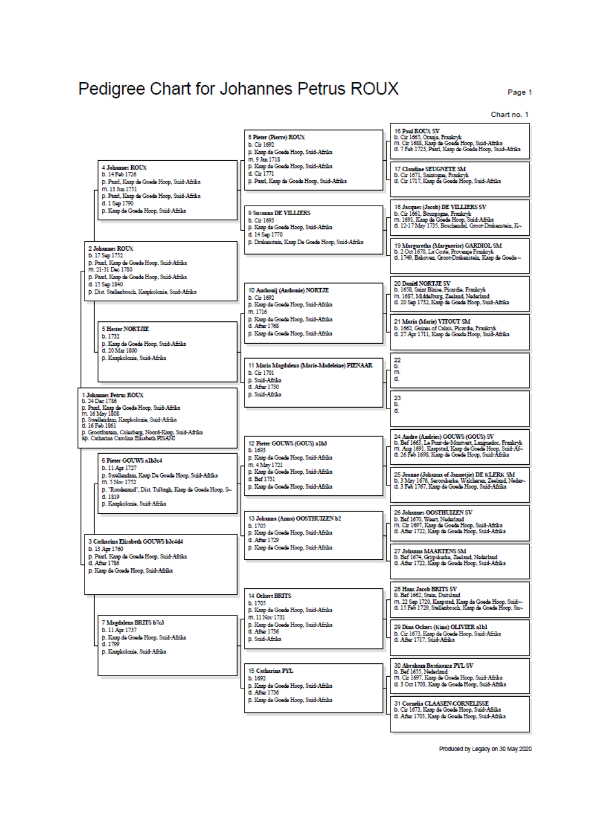# Pedigree Chart for Johannes Petrus ROUX

Page 1

Chart no. 1

|                                                                                                                                                                      | 8 Pieter (Pierre) ROUX<br>b. Cir 1692<br>p. Kaap de Goede Hoop, Suid-Afrika<br>m. 9 Jan 1718             | 16 Paul ROUX SV<br>b. Cir 1665, Oranjo, Frankryk<br>m. Cir 1688, Kaap de Goede Hoop, Suid-Afrika<br>d. 7 Feb 1723, Paarl, Kaap de Goede Hoop, Suid-Afrika                                             |
|----------------------------------------------------------------------------------------------------------------------------------------------------------------------|----------------------------------------------------------------------------------------------------------|-------------------------------------------------------------------------------------------------------------------------------------------------------------------------------------------------------|
| <b>4 Johannes ROUX</b><br>b. 14 Feb 1726<br>p. Paarl, Kaap de Goede Hoop, Suid-Afrika<br>m. 13 Jun 1751<br>p. Paarl, Kaap de Goede Hoop, Suid-Afrika                 | p. Kaap de Goede Hoop, Suid-Afrika<br>d. Cir 1771<br>D. Paarl, Kaap de Goede Hoop, Suid-Afrika           | <b>17 Claudine SEUGNETE SM</b><br>b. Cir 1671, Saintogna, Frankryk<br>d. Cir 1717, Kaap de Goede Hoop, Suid-Afrika                                                                                    |
| d. 1 Sep 1790<br>p. Kaap de Goede Hoop, Suid-Afrika                                                                                                                  | <b>9 Susanna DE VILLIERS</b><br>b. Cir 1693<br>p. Kaap de Goede Hoop, Suid-Afrika<br>d. 14 Sep 1770      | 18 Jacques (Jacob) DE VILLIERS SV<br>b. Cir 1661, Bourgogne, Frankryk<br>m. 1691, Kaap de Goede Hoop, Suid-Afrika<br>d. 12-17 May 1735, Boschendal, Groot-Drakenstein, K--                            |
| <b>2 Johannes ROUX</b><br>b. 17 Sep 1752<br>p. Paarl, Kaap de Goede Hoop, Suid-Afrika<br>m. 21-31 Dec 1780                                                           | p. Drakenstein, Kaap De Goede Hoop, Suid-Afrika                                                          | 19 Margaretha (Marguerite) GARDIOL SM<br>b. 2 Oct 1670, La Coste, Provenço Frankryk<br>d. 1749, Bakoven, Groot-Drakenstein, Kaap de Goede ~                                                           |
| D. Paarl, Kaap de Goede Hoop, Suid-Afrika<br>d. 15 Sep 1840<br>p. Dist. Stellenbosch, Kaapkolonie, Suid-Afrika                                                       | 10 Anthonij (Anthonie) NORTJE<br>b. Cir 1692<br>p. Kaap de Goede Hoop, Suid-Afrika<br>m. 1716            | <b>20 Daniel NORTJE SV</b><br>b. 1658. Saint Blaise, Picardie, Frankryk<br>m. 1687, Middelburg, Zeeland, Nederland<br>d. 20 Sep 1732, Kaap de Goede Hoop, Suid-Afrika                                 |
| <b>5 Hester NORTJIE</b><br>b 1732<br>D. Kaap de Goede Hoop, Suid-Afrika                                                                                              | p. Kaap de Goede Hoop, Suid-Afrika<br>d. After 1768<br>p. Kaap de Goede Hoop, Suid-Afrika                | 21 Maria (Marie) VITOUT SM<br>b. 1662, Guines of Calais, Picardia, Frankryk<br>d. 27 Apr 1711, Kaap de Goede Hoop, Suid-Afrika                                                                        |
| d. 20 Mar 1800<br>p. Kaapkolonie, Suid-Afrika                                                                                                                        | 11 Maria Magdalena (Marie-Madeleine) PIENAAR.<br>b. Cir 1701<br>D. Suid-Afrika<br>d. After 1730          | 22<br>b.<br>m.<br>d.                                                                                                                                                                                  |
| 1 Johannes Petrus ROUX<br>b. 24 Dec 1786<br>p. Paarl, Kaap de Goede Hoop, Suid-Afrika<br>m. 16 May 1808<br>p. Swellendam, Kaapkolonie, Suid-Afrika<br>d. 16 Feb 1861 | D. Suid-Afrika                                                                                           | 23<br>b.<br>d.                                                                                                                                                                                        |
| p. Grootfontsin, Colesberg, Noord-Kaap, Suid-Afrika<br>80. Catharina Carolina Elisabeth PISANI<br>6 Pieter GOUWS alb3c4                                              | 12 Pieter GOUWS (GOUS) alb3<br>b. 1693<br>p. Kaap de Goede Hoop, Suid-Afrika                             | 24 Andre (Andries) GOUWS (GOUS) SV<br>b. Bef 1663, Le Pont-de-Montvert, Languedoc, Frankryk<br>m. Ang 1691, Kaapstad, Kaap de Goede Hoop, Suid-Af-<br>d. 26 Feb 1698, Kaap de Goede Hoop, Suid-Afrika |
| b. 11 Apr 1727<br>p. Swellendam, Kaap De Goede Hoop, Suid-Afrika<br>m. 5 Nov 1752<br>p. "Roodszand", Dist. Tulbagh, Kaap de Goede Hoop, S~<br>d. 1819                | m. 4 May 1721<br>p. Kaap de Goede Hoop, Suid-Afrika<br>d. Bef 1731<br>p. Kaap de Goede Hoop, Suid-Afrika | 25 Jeanne (Johanna of Jannetjie) DE KLERK SM<br>b. 3 May 1676, Serooskerke, Walcheren, Zeeland, Neder-<br>d. 3 Feb 1767, Kaap de Goede Hoop, Suid-Afrika                                              |
| D. Kaapkolonie, Suid-Afrika<br>3 Catharina Elizabeth GOUWS b3c4d4                                                                                                    | 13 Johanna (Anna) OOSTHUIZEN b2<br>b. 1705<br>D. Kaap de Goede Hoop, Suid-Afrika<br>d. After 1729        | <b>26 Johannes OOSTHUIZEN SV</b><br>b. Bef 1670, Weart Nederland<br>m. Cir 1697, Kaap de Goede Hoop, Suid-Afrika<br>d. After 1722, Kaap de Goede Hoop, Suid-Afrika                                    |
| b. 13 Apr 1760<br>p. Paarl, Kaap de Goede Hoop, Suid-Afrika<br>d. After 1786<br>p. Kaap de Goede Hoop, Suid-Afrika                                                   | D. Kaap de Goede Hoop, Suid-Afrika                                                                       | <b>27 Johanna MAARTENS SM</b><br>b. Bef 1674, Grijpskerke, Zeeland, Nederland<br>d. After 1722, Kaap de Goede Hoop, Suid-Afrika                                                                       |
|                                                                                                                                                                      | <b>14 Ochert BRITS</b><br>b. 1705<br>p. Kaap de Goede Hoop, Suid-Afrika<br>m. 11 Nov 1731                | 28 Hans Jacob BRITS SV<br>b. Bef 1662, Stein, Duitsland<br>m. 22 Sep 1720, Kaapstad, Kaap de Goede Hoop, Suid-~<br>d. 15 Feb 1729, Stellenbosch, Kaap de Goede Hoop, Su-                              |
| 7 Magdalena BRITS b7c3<br>b. 11 Apr 1737<br>p. Kaap de Goede Hoop, Suid-Afrika<br>d. 1799<br>p. Kaapkolonie, Suid-Afrika                                             | p. Kaap de Goede Hoop, Suid-Afrika<br>d. After 1736<br>D. Suid-Afrika                                    | 29 Dina Oclars (Kina) OLIVIER albl<br>b. Cir 1673, Kaap de Goede Hoop, Suid-Afrika<br>d. After 1717, Suid-Afrika                                                                                      |
|                                                                                                                                                                      | <b>15 Catherina PYL</b><br>b 1692<br>D. Kaap de Goede Hoop, Suid-Afrika<br>d. After 1736                 | <b>30 Abraham Bastiaansz PYL SV</b><br>b. Bef 1655. Nederland<br>m. Cir 1697, Kaap de Goede Hoop, Suid-Afrika<br>d. 3 Oct 1703, Kaap de Goede Hoop, Suid-Afrika                                       |
|                                                                                                                                                                      | p. Kaap de Goede Hoop, Suid-Afrika                                                                       | 31 Cornelia CLAASEN/CORNELISSE<br>b. Cir 1673, Kaap de Goede Hoop, Suid-Afrika<br>d. After 1703, Kaap de Goede Hoop, Suid-Afrika                                                                      |

Produced by Legacy on 30 May 2020

I